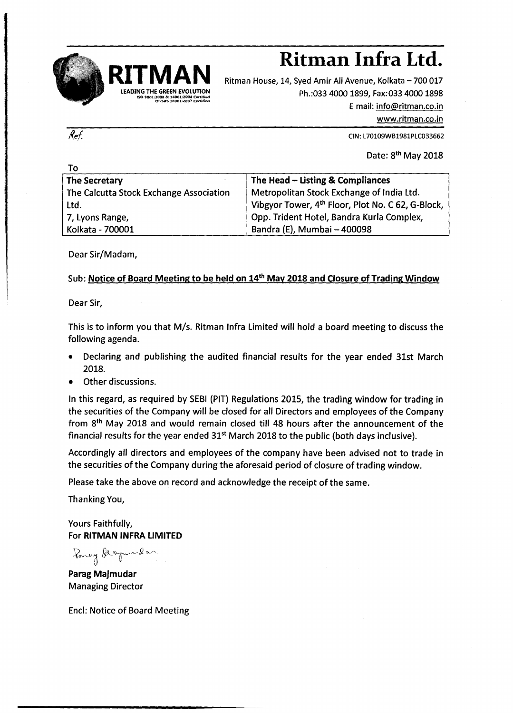

## **RITMAN Ritman Infra Ltd.**

Ritman House, 14, Syed Amir Ali Avenue, Kolkata - 700 017 Ph.:033 4000 1899, Fax:033 4000 1898 Email: [info@ritman.co.in](mailto:info@ritman.co.in) [www.ritman.co.in](http://www.ritman.co.in)

CIN:L70109VVB1981PLC033662

Date: 8<sup>th</sup> May 2018

| To                                                            |  |
|---------------------------------------------------------------|--|
| The Head - Listing & Compliances                              |  |
| Metropolitan Stock Exchange of India Ltd.                     |  |
| Vibgyor Tower, 4 <sup>th</sup> Floor, Plot No. C 62, G-Block, |  |
| Opp. Trident Hotel, Bandra Kurla Complex,                     |  |
| Bandra (E), Mumbai - 400098                                   |  |
|                                                               |  |

Dear Sir/Madam,

## Sub: Notice of Board Meeting to be held on 14<sup>th</sup> May 2018 and Closure of Trading Window

Dear Sir,

This is to inform you that *MIs.* Ritman Infra Limited will hold a board meeting to discuss the following agenda.

- Declaring and publishing the audited financial results for the year ended 31st March 2018.
- Other discussions.

In this regard, as required by SEBI (PIT) Regulations 2015, the trading window for trading in the securities of the Company will be closed for all Directors and employees of the Company from 8<sup>th</sup> May 2018 and would remain closed till 48 hours after the announcement of the financial results for the year ended  $31<sup>st</sup>$  March 2018 to the public (both days inclusive).

Accordingly all directors and employees of the company have been advised not to trade in the securities of the Company during the aforesaid period of closure of trading window.

Please take the above on record and acknowledge the receipt of the same.

Thanking You,

Yours Faithfully, For RITMAN INFRA LIMITED

 $\lambda$ oneg degmaler

Parag Majmudar Managing Director

End: Notice of Board Meeting

Ref.